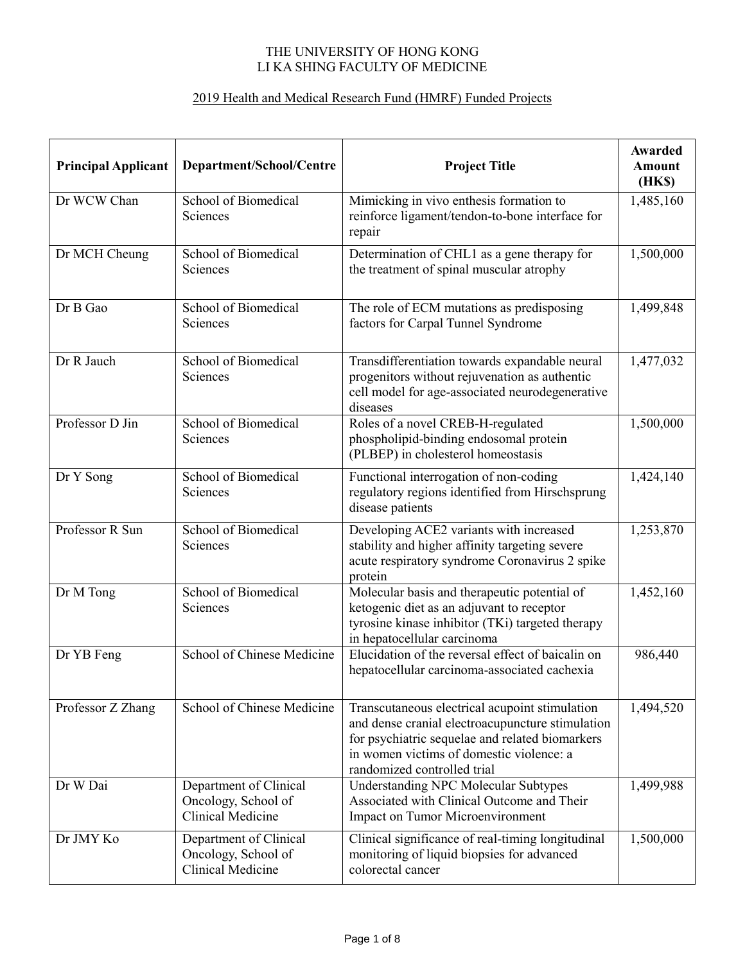## THE UNIVERSITY OF HONG KONG LI KA SHING FACULTY OF MEDICINE

## 2019 Health and Medical Research Fund (HMRF) Funded Projects

| <b>Principal Applicant</b> | Department/School/Centre                                                  | <b>Project Title</b>                                                                                                                                                                                                             | Awarded<br><b>Amount</b><br>(HK\$) |
|----------------------------|---------------------------------------------------------------------------|----------------------------------------------------------------------------------------------------------------------------------------------------------------------------------------------------------------------------------|------------------------------------|
| Dr WCW Chan                | School of Biomedical<br>Sciences                                          | Mimicking in vivo enthesis formation to<br>reinforce ligament/tendon-to-bone interface for<br>repair                                                                                                                             | 1,485,160                          |
| Dr MCH Cheung              | School of Biomedical<br>Sciences                                          | Determination of CHL1 as a gene therapy for<br>the treatment of spinal muscular atrophy                                                                                                                                          | 1,500,000                          |
| Dr B Gao                   | School of Biomedical<br>Sciences                                          | The role of ECM mutations as predisposing<br>factors for Carpal Tunnel Syndrome                                                                                                                                                  | 1,499,848                          |
| Dr R Jauch                 | School of Biomedical<br>Sciences                                          | Transdifferentiation towards expandable neural<br>progenitors without rejuvenation as authentic<br>cell model for age-associated neurodegenerative<br>diseases                                                                   | 1,477,032                          |
| Professor D Jin            | School of Biomedical<br>Sciences                                          | Roles of a novel CREB-H-regulated<br>phospholipid-binding endosomal protein<br>(PLBEP) in cholesterol homeostasis                                                                                                                | 1,500,000                          |
| Dr Y Song                  | School of Biomedical<br>Sciences                                          | Functional interrogation of non-coding<br>regulatory regions identified from Hirschsprung<br>disease patients                                                                                                                    | 1,424,140                          |
| Professor R Sun            | School of Biomedical<br>Sciences                                          | Developing ACE2 variants with increased<br>stability and higher affinity targeting severe<br>acute respiratory syndrome Coronavirus 2 spike<br>protein                                                                           | 1,253,870                          |
| Dr M Tong                  | School of Biomedical<br>Sciences                                          | Molecular basis and therapeutic potential of<br>ketogenic diet as an adjuvant to receptor<br>tyrosine kinase inhibitor (TKi) targeted therapy<br>in hepatocellular carcinoma                                                     | 1,452,160                          |
| Dr YB Feng                 | School of Chinese Medicine                                                | Elucidation of the reversal effect of baicalin on<br>hepatocellular carcinoma-associated cachexia                                                                                                                                | 986,440                            |
| Professor Z Zhang          | School of Chinese Medicine                                                | Transcutaneous electrical acupoint stimulation<br>and dense cranial electroacupuncture stimulation<br>for psychiatric sequelae and related biomarkers<br>in women victims of domestic violence: a<br>randomized controlled trial | 1,494,520                          |
| Dr W Dai                   | Department of Clinical<br>Oncology, School of<br><b>Clinical Medicine</b> | <b>Understanding NPC Molecular Subtypes</b><br>Associated with Clinical Outcome and Their<br><b>Impact on Tumor Microenvironment</b>                                                                                             | 1,499,988                          |
| Dr JMY Ko                  | Department of Clinical<br>Oncology, School of<br><b>Clinical Medicine</b> | Clinical significance of real-timing longitudinal<br>monitoring of liquid biopsies for advanced<br>colorectal cancer                                                                                                             | 1,500,000                          |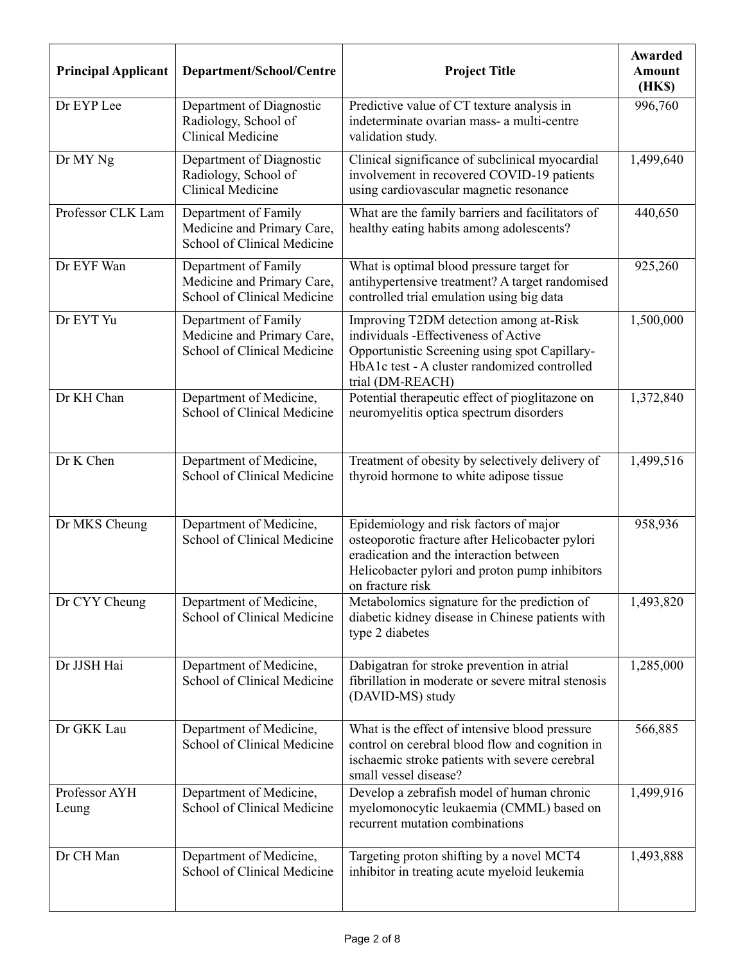| <b>Principal Applicant</b> | Department/School/Centre                                                          | <b>Project Title</b>                                                                                                                                                                                       | Awarded<br><b>Amount</b><br>(HKS) |
|----------------------------|-----------------------------------------------------------------------------------|------------------------------------------------------------------------------------------------------------------------------------------------------------------------------------------------------------|-----------------------------------|
| Dr EYP Lee                 | Department of Diagnostic<br>Radiology, School of<br>Clinical Medicine             | Predictive value of CT texture analysis in<br>indeterminate ovarian mass- a multi-centre<br>validation study.                                                                                              | 996,760                           |
| Dr MY Ng                   | Department of Diagnostic<br>Radiology, School of<br><b>Clinical Medicine</b>      | Clinical significance of subclinical myocardial<br>involvement in recovered COVID-19 patients<br>using cardiovascular magnetic resonance                                                                   | 1,499,640                         |
| Professor CLK Lam          | Department of Family<br>Medicine and Primary Care,<br>School of Clinical Medicine | What are the family barriers and facilitators of<br>healthy eating habits among adolescents?                                                                                                               | 440,650                           |
| Dr EYF Wan                 | Department of Family<br>Medicine and Primary Care,<br>School of Clinical Medicine | What is optimal blood pressure target for<br>antihypertensive treatment? A target randomised<br>controlled trial emulation using big data                                                                  | 925,260                           |
| Dr EYT Yu                  | Department of Family<br>Medicine and Primary Care,<br>School of Clinical Medicine | Improving T2DM detection among at-Risk<br>individuals -Effectiveness of Active<br>Opportunistic Screening using spot Capillary-<br>HbA1c test - A cluster randomized controlled<br>trial (DM-REACH)        | 1,500,000                         |
| Dr KH Chan                 | Department of Medicine,<br>School of Clinical Medicine                            | Potential therapeutic effect of pioglitazone on<br>neuromyelitis optica spectrum disorders                                                                                                                 | 1,372,840                         |
| Dr K Chen                  | Department of Medicine,<br>School of Clinical Medicine                            | Treatment of obesity by selectively delivery of<br>thyroid hormone to white adipose tissue                                                                                                                 | 1,499,516                         |
| Dr MKS Cheung              | Department of Medicine,<br>School of Clinical Medicine                            | Epidemiology and risk factors of major<br>osteoporotic fracture after Helicobacter pylori<br>eradication and the interaction between<br>Helicobacter pylori and proton pump inhibitors<br>on fracture risk | 958,936                           |
| Dr CYY Cheung              | Department of Medicine,<br>School of Clinical Medicine                            | Metabolomics signature for the prediction of<br>diabetic kidney disease in Chinese patients with<br>type 2 diabetes                                                                                        | 1,493,820                         |
| Dr JJSH Hai                | Department of Medicine,<br>School of Clinical Medicine                            | Dabigatran for stroke prevention in atrial<br>fibrillation in moderate or severe mitral stenosis<br>(DAVID-MS) study                                                                                       | 1,285,000                         |
| Dr GKK Lau                 | Department of Medicine,<br>School of Clinical Medicine                            | What is the effect of intensive blood pressure<br>control on cerebral blood flow and cognition in<br>ischaemic stroke patients with severe cerebral<br>small vessel disease?                               | 566,885                           |
| Professor AYH<br>Leung     | Department of Medicine,<br>School of Clinical Medicine                            | Develop a zebrafish model of human chronic<br>myelomonocytic leukaemia (CMML) based on<br>recurrent mutation combinations                                                                                  | 1,499,916                         |
| Dr CH Man                  | Department of Medicine,<br>School of Clinical Medicine                            | Targeting proton shifting by a novel MCT4<br>inhibitor in treating acute myeloid leukemia                                                                                                                  | 1,493,888                         |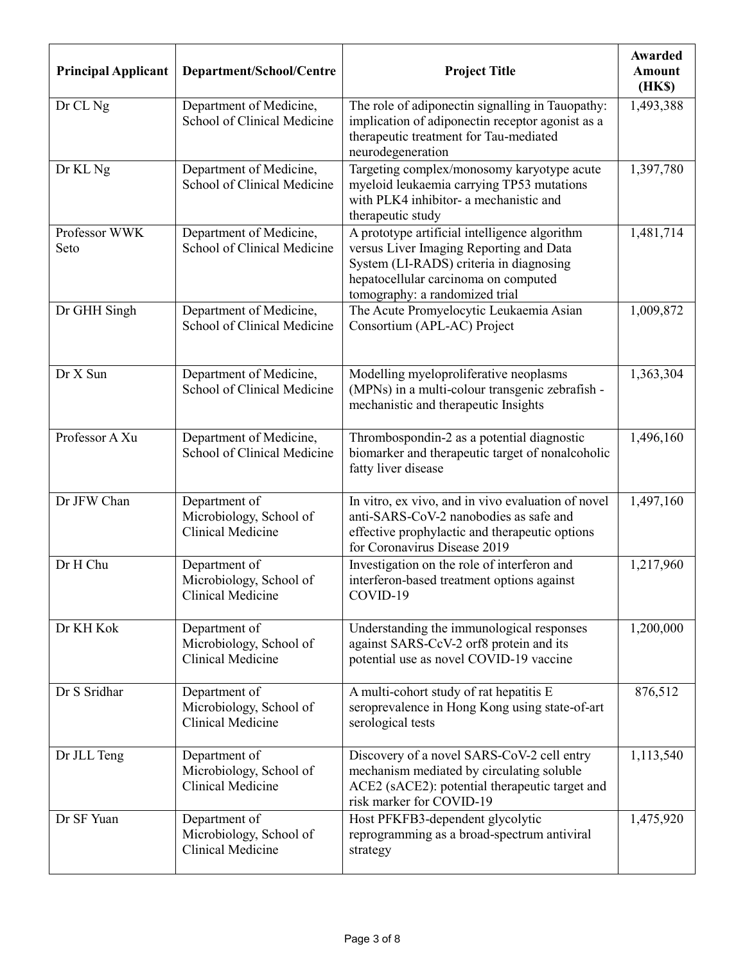| <b>Principal Applicant</b> | Department/School/Centre                                             | <b>Project Title</b>                                                                                                                                                                                          | Awarded<br><b>Amount</b><br>(HK\$) |
|----------------------------|----------------------------------------------------------------------|---------------------------------------------------------------------------------------------------------------------------------------------------------------------------------------------------------------|------------------------------------|
| Dr CL Ng                   | Department of Medicine,<br>School of Clinical Medicine               | The role of adiponectin signalling in Tauopathy:<br>implication of adiponectin receptor agonist as a<br>therapeutic treatment for Tau-mediated<br>neurodegeneration                                           | 1,493,388                          |
| Dr KL Ng                   | Department of Medicine,<br>School of Clinical Medicine               | Targeting complex/monosomy karyotype acute<br>myeloid leukaemia carrying TP53 mutations<br>with PLK4 inhibitor- a mechanistic and<br>therapeutic study                                                        | 1,397,780                          |
| Professor WWK<br>Seto      | Department of Medicine,<br>School of Clinical Medicine               | A prototype artificial intelligence algorithm<br>versus Liver Imaging Reporting and Data<br>System (LI-RADS) criteria in diagnosing<br>hepatocellular carcinoma on computed<br>tomography: a randomized trial | 1,481,714                          |
| Dr GHH Singh               | Department of Medicine,<br>School of Clinical Medicine               | The Acute Promyelocytic Leukaemia Asian<br>Consortium (APL-AC) Project                                                                                                                                        | 1,009,872                          |
| Dr X Sun                   | Department of Medicine,<br>School of Clinical Medicine               | Modelling myeloproliferative neoplasms<br>(MPNs) in a multi-colour transgenic zebrafish -<br>mechanistic and therapeutic Insights                                                                             | 1,363,304                          |
| Professor A Xu             | Department of Medicine,<br>School of Clinical Medicine               | Thrombospondin-2 as a potential diagnostic<br>biomarker and therapeutic target of nonalcoholic<br>fatty liver disease                                                                                         | $\overline{1,}496,160$             |
| Dr JFW Chan                | Department of<br>Microbiology, School of<br>Clinical Medicine        | In vitro, ex vivo, and in vivo evaluation of novel<br>anti-SARS-CoV-2 nanobodies as safe and<br>effective prophylactic and therapeutic options<br>for Coronavirus Disease 2019                                | 1,497,160                          |
| Dr H Chu                   | Department of<br>Microbiology, School of<br>Clinical Medicine        | Investigation on the role of interferon and<br>interferon-based treatment options against<br>COVID-19                                                                                                         | 1,217,960                          |
| Dr KH Kok                  | Department of<br>Microbiology, School of<br><b>Clinical Medicine</b> | Understanding the immunological responses<br>against SARS-CcV-2 orf8 protein and its<br>potential use as novel COVID-19 vaccine                                                                               | 1,200,000                          |
| Dr S Sridhar               | Department of<br>Microbiology, School of<br><b>Clinical Medicine</b> | A multi-cohort study of rat hepatitis E<br>seroprevalence in Hong Kong using state-of-art<br>serological tests                                                                                                | 876,512                            |
| Dr JLL Teng                | Department of<br>Microbiology, School of<br>Clinical Medicine        | Discovery of a novel SARS-CoV-2 cell entry<br>mechanism mediated by circulating soluble<br>ACE2 (sACE2): potential therapeutic target and<br>risk marker for COVID-19                                         | 1,113,540                          |
| Dr SF Yuan                 | Department of<br>Microbiology, School of<br>Clinical Medicine        | Host PFKFB3-dependent glycolytic<br>reprogramming as a broad-spectrum antiviral<br>strategy                                                                                                                   | 1,475,920                          |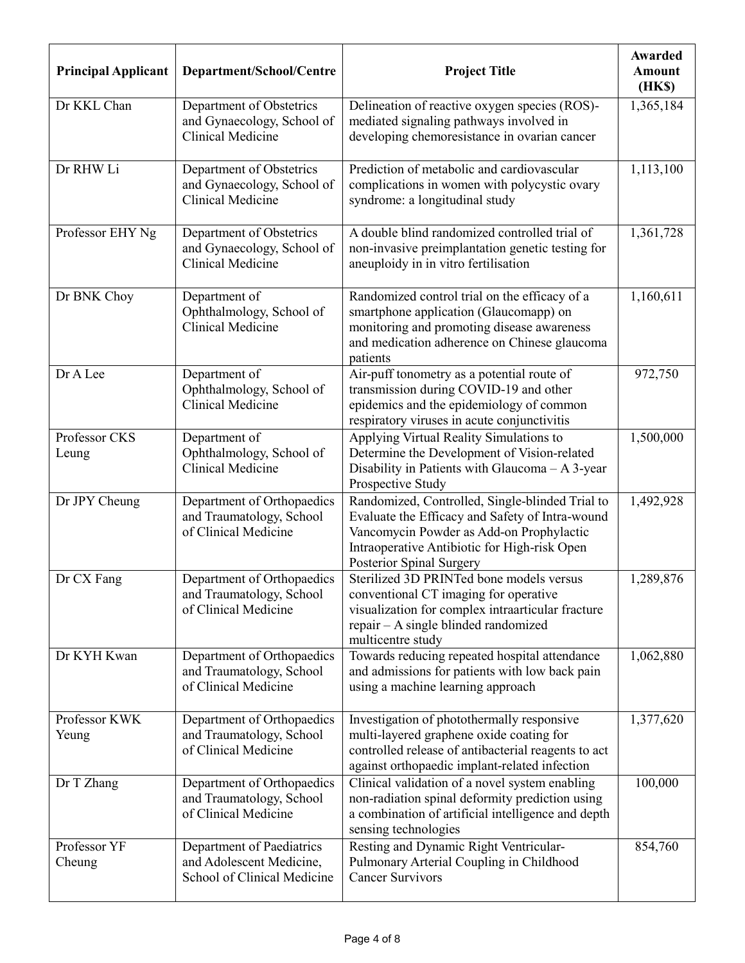| <b>Principal Applicant</b> | Department/School/Centre                                                             | <b>Project Title</b>                                                                                                                                                                                                       | Awarded<br><b>Amount</b><br>(HK\$) |
|----------------------------|--------------------------------------------------------------------------------------|----------------------------------------------------------------------------------------------------------------------------------------------------------------------------------------------------------------------------|------------------------------------|
| Dr KKL Chan                | Department of Obstetrics<br>and Gynaecology, School of<br><b>Clinical Medicine</b>   | Delineation of reactive oxygen species (ROS)-<br>mediated signaling pathways involved in<br>developing chemoresistance in ovarian cancer                                                                                   | 1,365,184                          |
| Dr RHW Li                  | Department of Obstetrics<br>and Gynaecology, School of<br>Clinical Medicine          | Prediction of metabolic and cardiovascular<br>complications in women with polycystic ovary<br>syndrome: a longitudinal study                                                                                               | 1,113,100                          |
| Professor EHY Ng           | Department of Obstetrics<br>and Gynaecology, School of<br>Clinical Medicine          | A double blind randomized controlled trial of<br>non-invasive preimplantation genetic testing for<br>aneuploidy in in vitro fertilisation                                                                                  | 1,361,728                          |
| Dr BNK Choy                | Department of<br>Ophthalmology, School of<br>Clinical Medicine                       | Randomized control trial on the efficacy of a<br>smartphone application (Glaucomapp) on<br>monitoring and promoting disease awareness<br>and medication adherence on Chinese glaucoma<br>patients                          | 1,160,611                          |
| Dr A Lee                   | Department of<br>Ophthalmology, School of<br>Clinical Medicine                       | Air-puff tonometry as a potential route of<br>transmission during COVID-19 and other<br>epidemics and the epidemiology of common<br>respiratory viruses in acute conjunctivitis                                            | 972,750                            |
| Professor CKS<br>Leung     | Department of<br>Ophthalmology, School of<br>Clinical Medicine                       | Applying Virtual Reality Simulations to<br>Determine the Development of Vision-related<br>Disability in Patients with Glaucoma - A 3-year<br>Prospective Study                                                             | 1,500,000                          |
| Dr JPY Cheung              | Department of Orthopaedics<br>and Traumatology, School<br>of Clinical Medicine       | Randomized, Controlled, Single-blinded Trial to<br>Evaluate the Efficacy and Safety of Intra-wound<br>Vancomycin Powder as Add-on Prophylactic<br>Intraoperative Antibiotic for High-risk Open<br>Posterior Spinal Surgery | 1,492,928                          |
| Dr CX Fang                 | Department of Orthopaedics<br>and Traumatology, School<br>of Clinical Medicine       | Sterilized 3D PRINTed bone models versus<br>conventional CT imaging for operative<br>visualization for complex intraarticular fracture<br>$repair - A \n  single \n  blined \n  randomized$<br>multicentre study           | 1,289,876                          |
| Dr KYH Kwan                | Department of Orthopaedics<br>and Traumatology, School<br>of Clinical Medicine       | Towards reducing repeated hospital attendance<br>and admissions for patients with low back pain<br>using a machine learning approach                                                                                       | 1,062,880                          |
| Professor KWK<br>Yeung     | Department of Orthopaedics<br>and Traumatology, School<br>of Clinical Medicine       | Investigation of photothermally responsive<br>multi-layered graphene oxide coating for<br>controlled release of antibacterial reagents to act<br>against orthopaedic implant-related infection                             | 1,377,620                          |
| Dr T Zhang                 | Department of Orthopaedics<br>and Traumatology, School<br>of Clinical Medicine       | Clinical validation of a novel system enabling<br>non-radiation spinal deformity prediction using<br>a combination of artificial intelligence and depth<br>sensing technologies                                            | 100,000                            |
| Professor YF<br>Cheung     | Department of Paediatrics<br>and Adolescent Medicine,<br>School of Clinical Medicine | Resting and Dynamic Right Ventricular-<br>Pulmonary Arterial Coupling in Childhood<br><b>Cancer Survivors</b>                                                                                                              | 854,760                            |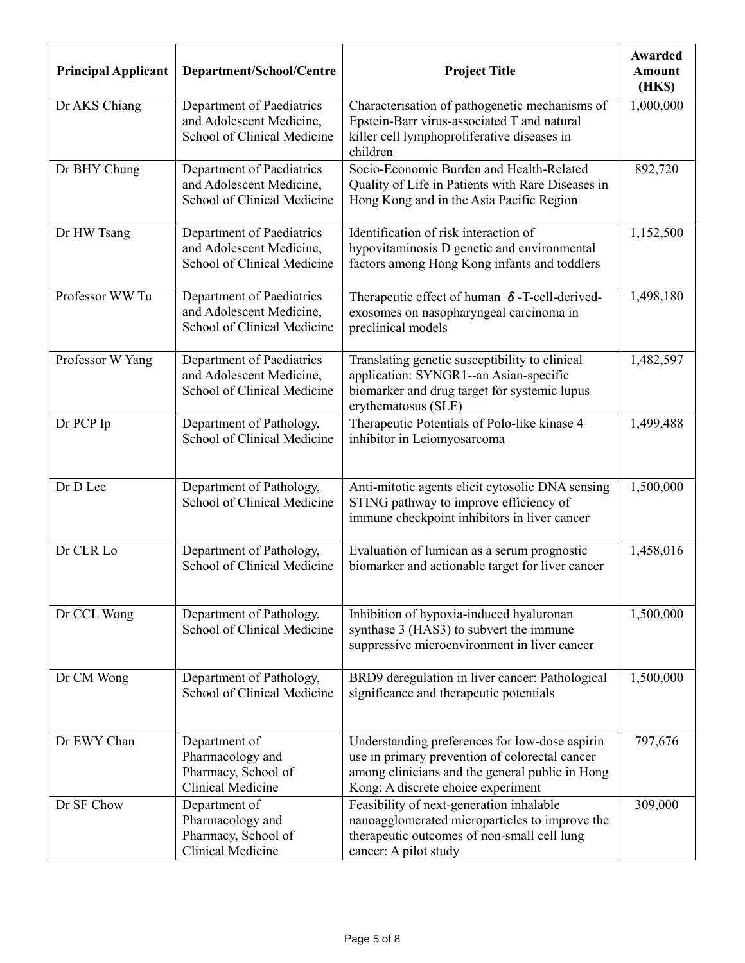| <b>Principal Applicant</b> | Department/School/Centre                                                             | <b>Project Title</b>                                                                                                                                                                      | Awarded<br>Amount<br>(HK\$) |
|----------------------------|--------------------------------------------------------------------------------------|-------------------------------------------------------------------------------------------------------------------------------------------------------------------------------------------|-----------------------------|
| Dr AKS Chiang              | Department of Paediatrics<br>and Adolescent Medicine,<br>School of Clinical Medicine | Characterisation of pathogenetic mechanisms of<br>Epstein-Barr virus-associated T and natural<br>killer cell lymphoproliferative diseases in<br>children                                  | 1,000,000                   |
| Dr BHY Chung               | Department of Paediatrics<br>and Adolescent Medicine,<br>School of Clinical Medicine | Socio-Economic Burden and Health-Related<br>Quality of Life in Patients with Rare Diseases in<br>Hong Kong and in the Asia Pacific Region                                                 | 892,720                     |
| Dr HW Tsang                | Department of Paediatrics<br>and Adolescent Medicine,<br>School of Clinical Medicine | Identification of risk interaction of<br>hypovitaminosis D genetic and environmental<br>factors among Hong Kong infants and toddlers                                                      | 1,152,500                   |
| Professor WW Tu            | Department of Paediatrics<br>and Adolescent Medicine,<br>School of Clinical Medicine | Therapeutic effect of human $\delta$ -T-cell-derived-<br>exosomes on nasopharyngeal carcinoma in<br>preclinical models                                                                    | 1,498,180                   |
| Professor W Yang           | Department of Paediatrics<br>and Adolescent Medicine,<br>School of Clinical Medicine | Translating genetic susceptibility to clinical<br>application: SYNGR1--an Asian-specific<br>biomarker and drug target for systemic lupus<br>erythematosus (SLE)                           | 1,482,597                   |
| Dr PCP Ip                  | Department of Pathology,<br>School of Clinical Medicine                              | Therapeutic Potentials of Polo-like kinase 4<br>inhibitor in Leiomyosarcoma                                                                                                               | 1,499,488                   |
| Dr D Lee                   | Department of Pathology,<br>School of Clinical Medicine                              | Anti-mitotic agents elicit cytosolic DNA sensing<br>STING pathway to improve efficiency of<br>immune checkpoint inhibitors in liver cancer                                                | 1,500,000                   |
| Dr CLR Lo                  | Department of Pathology,<br>School of Clinical Medicine                              | Evaluation of lumican as a serum prognostic<br>biomarker and actionable target for liver cancer                                                                                           | 1,458,016                   |
| Dr CCL Wong                | Department of Pathology,<br>School of Clinical Medicine                              | Inhibition of hypoxia-induced hyaluronan<br>synthase 3 (HAS3) to subvert the immune<br>suppressive microenvironment in liver cancer                                                       | 1,500,000                   |
| Dr CM Wong                 | Department of Pathology,<br>School of Clinical Medicine                              | BRD9 deregulation in liver cancer: Pathological<br>significance and therapeutic potentials                                                                                                | 1,500,000                   |
| Dr EWY Chan                | Department of<br>Pharmacology and<br>Pharmacy, School of<br><b>Clinical Medicine</b> | Understanding preferences for low-dose aspirin<br>use in primary prevention of colorectal cancer<br>among clinicians and the general public in Hong<br>Kong: A discrete choice experiment | 797,676                     |
| Dr SF Chow                 | Department of<br>Pharmacology and<br>Pharmacy, School of<br><b>Clinical Medicine</b> | Feasibility of next-generation inhalable<br>nanoagglomerated microparticles to improve the<br>therapeutic outcomes of non-small cell lung<br>cancer: A pilot study                        | 309,000                     |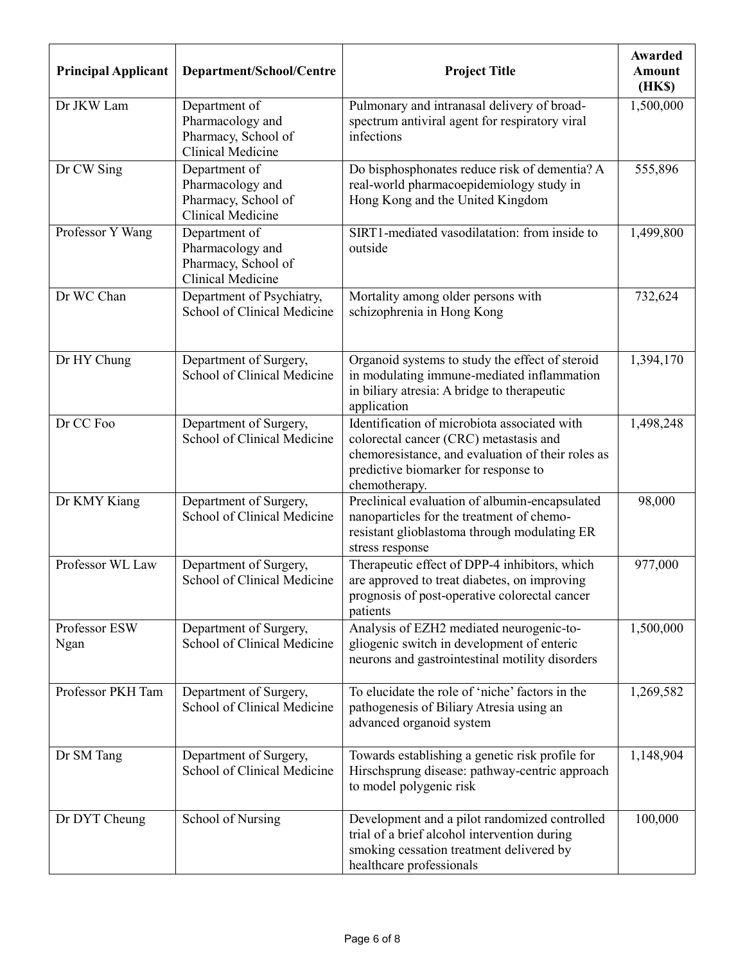| <b>Principal Applicant</b> | Department/School/Centre                                                             | <b>Project Title</b>                                                                                                                                                                                 | Awarded<br><b>Amount</b><br>(HK\$) |
|----------------------------|--------------------------------------------------------------------------------------|------------------------------------------------------------------------------------------------------------------------------------------------------------------------------------------------------|------------------------------------|
| Dr JKW Lam                 | Department of<br>Pharmacology and<br>Pharmacy, School of<br><b>Clinical Medicine</b> | Pulmonary and intranasal delivery of broad-<br>spectrum antiviral agent for respiratory viral<br>infections                                                                                          | 1,500,000                          |
| Dr CW Sing                 | Department of<br>Pharmacology and<br>Pharmacy, School of<br>Clinical Medicine        | Do bisphosphonates reduce risk of dementia? A<br>real-world pharmacoepidemiology study in<br>Hong Kong and the United Kingdom                                                                        | 555,896                            |
| Professor Y Wang           | Department of<br>Pharmacology and<br>Pharmacy, School of<br>Clinical Medicine        | SIRT1-mediated vasodilatation: from inside to<br>outside                                                                                                                                             | 1,499,800                          |
| Dr WC Chan                 | Department of Psychiatry,<br>School of Clinical Medicine                             | Mortality among older persons with<br>schizophrenia in Hong Kong                                                                                                                                     | 732,624                            |
| Dr HY Chung                | Department of Surgery,<br>School of Clinical Medicine                                | Organoid systems to study the effect of steroid<br>in modulating immune-mediated inflammation<br>in biliary atresia: A bridge to therapeutic<br>application                                          | 1,394,170                          |
| Dr CC Foo                  | Department of Surgery,<br>School of Clinical Medicine                                | Identification of microbiota associated with<br>colorectal cancer (CRC) metastasis and<br>chemoresistance, and evaluation of their roles as<br>predictive biomarker for response to<br>chemotherapy. | 1,498,248                          |
| Dr KMY Kiang               | Department of Surgery,<br>School of Clinical Medicine                                | Preclinical evaluation of albumin-encapsulated<br>nanoparticles for the treatment of chemo-<br>resistant glioblastoma through modulating ER<br>stress response                                       | 98,000                             |
| Professor WL Law           | Department of Surgery,<br>School of Clinical Medicine                                | Therapeutic effect of DPP-4 inhibitors, which<br>are approved to treat diabetes, on improving<br>prognosis of post-operative colorectal cancer<br>patients                                           | 977,000                            |
| Professor ESW<br>Ngan      | Department of Surgery,<br>School of Clinical Medicine                                | Analysis of EZH2 mediated neurogenic-to-<br>gliogenic switch in development of enteric<br>neurons and gastrointestinal motility disorders                                                            | 1,500,000                          |
| Professor PKH Tam          | Department of Surgery,<br>School of Clinical Medicine                                | To elucidate the role of 'niche' factors in the<br>pathogenesis of Biliary Atresia using an<br>advanced organoid system                                                                              | 1,269,582                          |
| Dr SM Tang                 | Department of Surgery,<br>School of Clinical Medicine                                | Towards establishing a genetic risk profile for<br>Hirschsprung disease: pathway-centric approach<br>to model polygenic risk                                                                         | 1,148,904                          |
| Dr DYT Cheung              | School of Nursing                                                                    | Development and a pilot randomized controlled<br>trial of a brief alcohol intervention during<br>smoking cessation treatment delivered by<br>healthcare professionals                                | 100,000                            |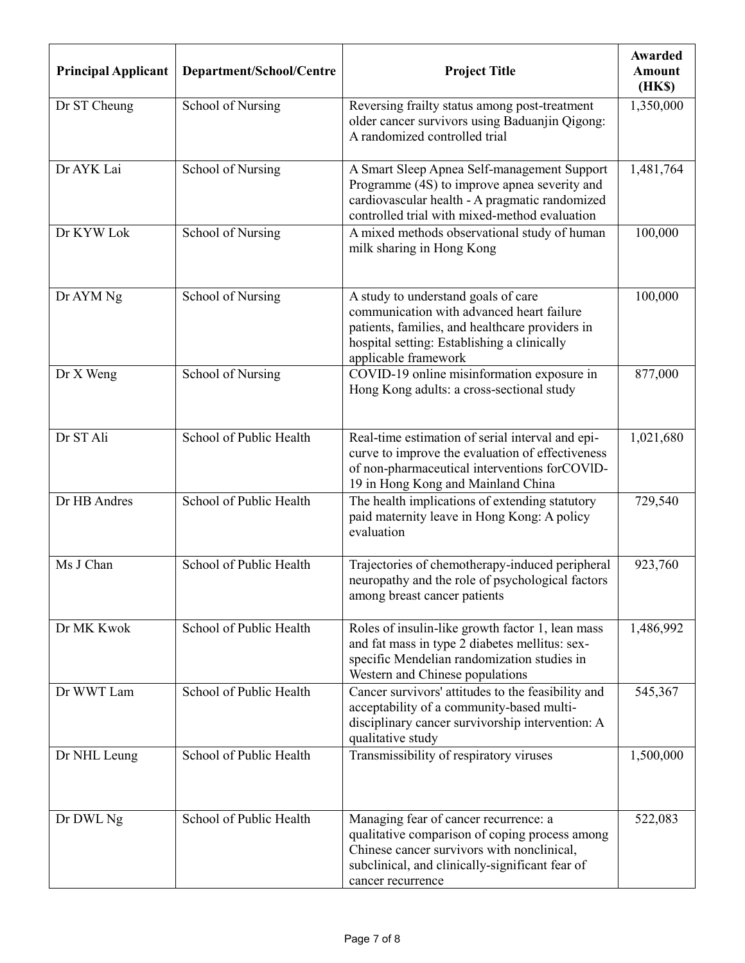| <b>Principal Applicant</b> | Department/School/Centre | <b>Project Title</b>                                                                                                                                                                                          | Awarded<br><b>Amount</b><br>(HK\$) |
|----------------------------|--------------------------|---------------------------------------------------------------------------------------------------------------------------------------------------------------------------------------------------------------|------------------------------------|
| Dr ST Cheung               | School of Nursing        | Reversing frailty status among post-treatment<br>older cancer survivors using Baduanjin Qigong:<br>A randomized controlled trial                                                                              | 1,350,000                          |
| Dr AYK Lai                 | School of Nursing        | A Smart Sleep Apnea Self-management Support<br>Programme (4S) to improve apnea severity and<br>cardiovascular health - A pragmatic randomized<br>controlled trial with mixed-method evaluation                | 1,481,764                          |
| Dr KYW Lok                 | School of Nursing        | A mixed methods observational study of human<br>milk sharing in Hong Kong                                                                                                                                     | 100,000                            |
| Dr AYM Ng                  | School of Nursing        | A study to understand goals of care<br>communication with advanced heart failure<br>patients, families, and healthcare providers in<br>hospital setting: Establishing a clinically<br>applicable framework    | 100,000                            |
| Dr X Weng                  | School of Nursing        | COVID-19 online misinformation exposure in<br>Hong Kong adults: a cross-sectional study                                                                                                                       | 877,000                            |
| Dr ST Ali                  | School of Public Health  | Real-time estimation of serial interval and epi-<br>curve to improve the evaluation of effectiveness<br>of non-pharmaceutical interventions forCOVID-<br>19 in Hong Kong and Mainland China                   | 1,021,680                          |
| Dr HB Andres               | School of Public Health  | The health implications of extending statutory<br>paid maternity leave in Hong Kong: A policy<br>evaluation                                                                                                   | 729,540                            |
| Ms J Chan                  | School of Public Health  | Trajectories of chemotherapy-induced peripheral<br>neuropathy and the role of psychological factors<br>among breast cancer patients                                                                           | 923,760                            |
| Dr MK Kwok                 | School of Public Health  | Roles of insulin-like growth factor 1, lean mass<br>and fat mass in type 2 diabetes mellitus: sex-<br>specific Mendelian randomization studies in<br>Western and Chinese populations                          | 1,486,992                          |
| Dr WWT Lam                 | School of Public Health  | Cancer survivors' attitudes to the feasibility and<br>acceptability of a community-based multi-<br>disciplinary cancer survivorship intervention: A<br>qualitative study                                      | 545,367                            |
| Dr NHL Leung               | School of Public Health  | Transmissibility of respiratory viruses                                                                                                                                                                       | 1,500,000                          |
| Dr DWL Ng                  | School of Public Health  | Managing fear of cancer recurrence: a<br>qualitative comparison of coping process among<br>Chinese cancer survivors with nonclinical,<br>subclinical, and clinically-significant fear of<br>cancer recurrence | 522,083                            |